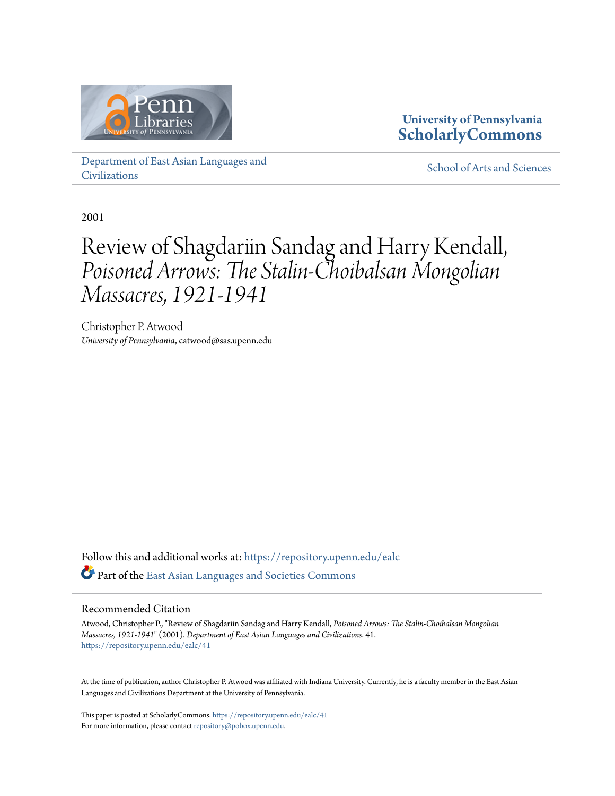

### **University of Pennsylvania [ScholarlyCommons](https://repository.upenn.edu/?utm_source=repository.upenn.edu%2Fealc%2F41&utm_medium=PDF&utm_campaign=PDFCoverPages)**

[Department of East Asian Languages and](https://repository.upenn.edu/ealc?utm_source=repository.upenn.edu%2Fealc%2F41&utm_medium=PDF&utm_campaign=PDFCoverPages) [Civilizations](https://repository.upenn.edu/ealc?utm_source=repository.upenn.edu%2Fealc%2F41&utm_medium=PDF&utm_campaign=PDFCoverPages)

[School of Arts and Sciences](https://repository.upenn.edu/sas?utm_source=repository.upenn.edu%2Fealc%2F41&utm_medium=PDF&utm_campaign=PDFCoverPages)

2001

# Review of Shagdariin Sandag and Harry Kendall, *Poisoned Arrows: The Stalin-Choibalsan Mongolian Massacres, 1921-1941*

Christopher P. Atwood *University of Pennsylvania*, catwood@sas.upenn.edu

Follow this and additional works at: [https://repository.upenn.edu/ealc](https://repository.upenn.edu/ealc?utm_source=repository.upenn.edu%2Fealc%2F41&utm_medium=PDF&utm_campaign=PDFCoverPages) Part of the [East Asian Languages and Societies Commons](http://network.bepress.com/hgg/discipline/481?utm_source=repository.upenn.edu%2Fealc%2F41&utm_medium=PDF&utm_campaign=PDFCoverPages)

#### Recommended Citation

Atwood, Christopher P., "Review of Shagdariin Sandag and Harry Kendall, *Poisoned Arrows: The Stalin-Choibalsan Mongolian Massacres, 1921-1941*" (2001). *Department of East Asian Languages and Civilizations*. 41. [https://repository.upenn.edu/ealc/41](https://repository.upenn.edu/ealc/41?utm_source=repository.upenn.edu%2Fealc%2F41&utm_medium=PDF&utm_campaign=PDFCoverPages)

At the time of publication, author Christopher P. Atwood was affiliated with Indiana University. Currently, he is a faculty member in the East Asian Languages and Civilizations Department at the University of Pennsylvania.

This paper is posted at ScholarlyCommons. <https://repository.upenn.edu/ealc/41> For more information, please contact [repository@pobox.upenn.edu.](mailto:repository@pobox.upenn.edu)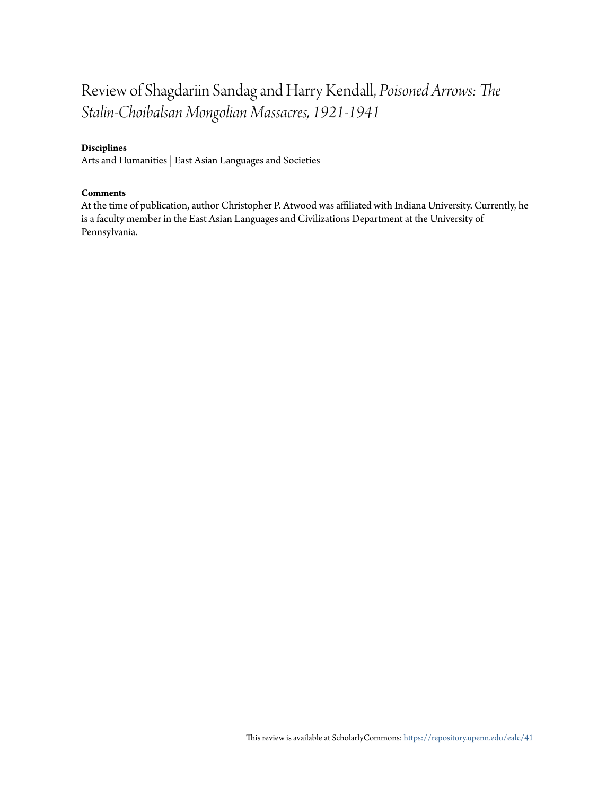### Review of Shagdariin Sandag and Harry Kendall, *Poisoned Arrows: The Stalin-Choibalsan Mongolian Massacres, 1921-1941*

#### **Disciplines**

Arts and Humanities | East Asian Languages and Societies

#### **Comments**

At the time of publication, author Christopher P. Atwood was affiliated with Indiana University. Currently, he is a faculty member in the East Asian Languages and Civilizations Department at the University of Pennsylvania.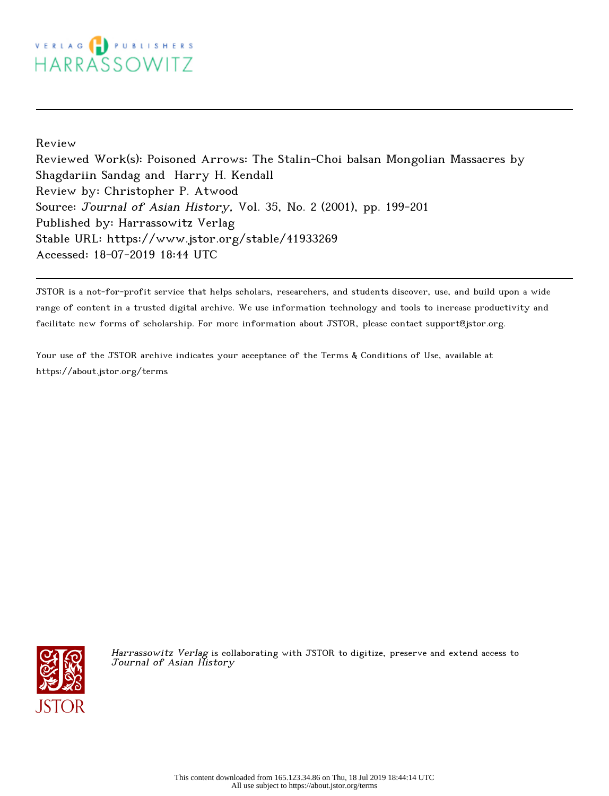## VERLAG PUBLISHERS HARRASSOWITZ

Review

Reviewed Work(s): Poisoned Arrows: The Stalin-Choi balsan Mongolian Massacres by Shagdariin Sandag and Harry H. Kendall Review by: Christopher P. Atwood Source: Journal of Asian History, Vol. 35, No. 2 (2001), pp. 199-201 Published by: Harrassowitz Verlag Stable URL: https://www.jstor.org/stable/41933269 Accessed: 18-07-2019 18:44 UTC

JSTOR is a not-for-profit service that helps scholars, researchers, and students discover, use, and build upon a wide range of content in a trusted digital archive. We use information technology and tools to increase productivity and facilitate new forms of scholarship. For more information about JSTOR, please contact support@jstor.org.

Your use of the JSTOR archive indicates your acceptance of the Terms & Conditions of Use, available at https://about.jstor.org/terms



Harrassowitz Verlag is collaborating with JSTOR to digitize, preserve and extend access to Journal of Asian History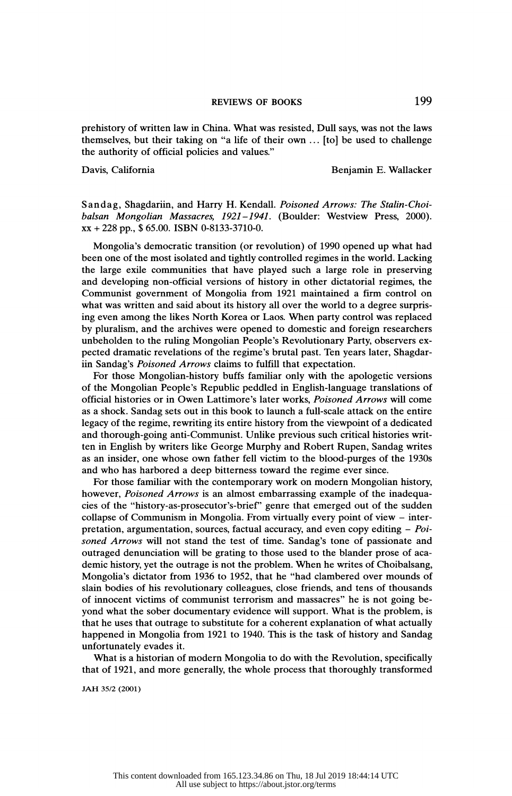prehistory of written law in China. What was resisted, Dull says, was not the laws themselves, but their taking on "a life of their own  $\ldots$  [to] be used to challenge the authority of official policies and values."

Davis, California **Benjamin E. Wallacker** 

 Sandag, Shagdariin, and Harry H. Kendall. Poisoned Arrows: The Stalin-Choi balsan Mongolian Massacres, 1921-1941. (Boulder: Westview Press, 2000). XX + 228 pp., \$ 65.00. ISBN 0-8133-3710-0.

 Mongolia's democratic transition (or revolution) of 1990 opened up what had been one of the most isolated and tightly controlled regimes in the world. Lacking the large exile communities that have played such a large role in preserving and developing non-official versions of history in other dictatorial regimes, the Communist government of Mongolia from 1921 maintained a firm control on what was written and said about its history all over the world to a degree surpris ing even among the likes North Korea or Laos. When party control was replaced by pluralism, and the archives were opened to domestic and foreign researchers unbeholden to the ruling Mongolian People's Revolutionary Party, observers ex pected dramatic revelations of the regime's brutal past. Ten years later, Shagdar iin Sandag's Poisoned Arrows claims to fulfill that expectation.

 For those Mongolian-history buffs familiar only with the apologetic versions of the Mongolian People's Republic peddled in English-language translations of official histories or in Owen Lattimore's later works, Poisoned Arrows will come as a shock. Sandag sets out in this book to launch a full-scale attack on the entire legacy of the regime, rewriting its entire history from the viewpoint of a dedicated and thorough-going anti- Communist. Unlike previous such critical histories writ ten in English by writers like George Murphy and Robert Rupen, Sandag writes as an insider, one whose own father fell victim to the blood-purges of the 1930s and who has harbored a deep bitterness toward the regime ever since.

 For those familiar with the contemporary work on modern Mongolian history, however, Poisoned Arrows is an almost embarrassing example of the inadequa cies of the "history-as-prosecutor's-brief" genre that emerged out of the sudden collapse of Communism in Mongolia. From virtually every point of view  $-$  interpretation, argumentation, sources, factual accuracy, and even copy editing - Poi soned Arrows will not stand the test of time. Sandag's tone of passionate and outraged denunciation will be grating to those used to the blander prose of aca demic history, yet the outrage is not the problem. When he writes of Choibalsang, Mongolia's dictator from 1936 to 1952, that he "had clambered over mounds of slain bodies of his revolutionary colleagues, close friends, and tens of thousands of innocent victims of communist terrorism and massacres" he is not going be yond what the sober documentary evidence will support. What is the problem, is that he uses that outrage to substitute for a coherent explanation of what actually happened in Mongolia from 1921 to 1940. This is the task of history and Sandag unfortunately evades it.

 What is a historian of modern Mongolia to do with the Revolution, specifically that of 1921, and more generally, the whole process that thoroughly transformed

JAH 35/2 (2001)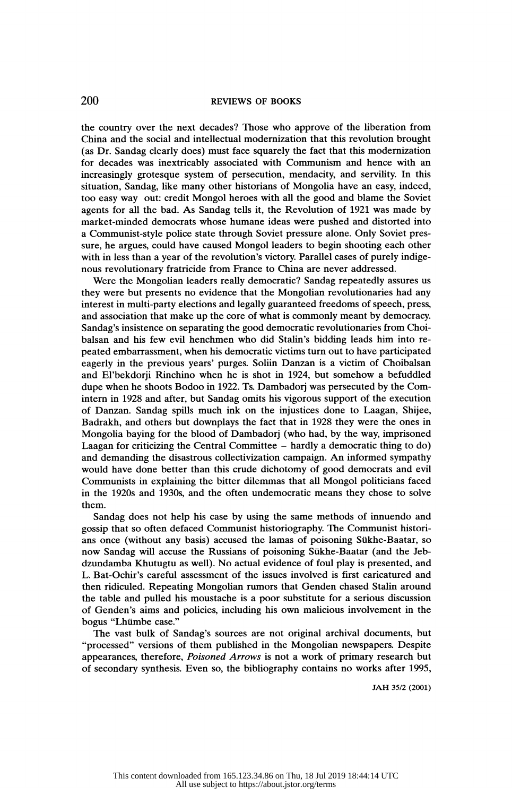the country over the next decades? Those who approve of the liberation from China and the social and intellectual modernization that this revolution brought (as Dr. Sandag clearly does) must face squarely the fact that this modernization for decades was inextricably associated with Communism and hence with an increasingly grotesque system of persecution, mendacity, and servility. In this situation, Sandag, like many other historians of Mongolia have an easy, indeed, too easy way out: credit Mongol heroes with all the good and blame the Soviet agents for all the bad. As Sandag tells it, the Revolution of 1921 was made by market-minded democrats whose humane ideas were pushed and distorted into a Communist-style police state through Soviet pressure alone. Only Soviet pres sure, he argues, could have caused Mongol leaders to begin shooting each other with in less than a year of the revolution's victory. Parallel cases of purely indige nous revolutionary fratricide from France to China are never addressed.

 Were the Mongolian leaders really democratic? Sandag repeatedly assures us they were but presents no evidence that the Mongolian revolutionaries had any interest in multi-party elections and legally guaranteed freedoms of speech, press, and association that make up the core of what is commonly meant by democracy. Sandag's insistence on separating the good democratic revolutionaries from Choi balsan and his few evil henchmen who did Stalin's bidding leads him into re peated embarrassment, when his democratic victims turn out to have participated eagerly in the previous years' purges. Soliin Danzan is a victim of Choibalsan and El'bekdorji Rinchino when he is shot in 1924, but somehow a befuddled dupe when he shoots Bodoo in 1922. Ts. Dambadorj was persecuted by the Com intern in 1928 and after, but Sandag omits his vigorous support of the execution of Danzan. Sandag spills much ink on the injustices done to Laagan, Shijee, Badrakh, and others but downplays the fact that in 1928 they were the ones in Mongolia baying for the blood of Dambadorj (who had, by the way, imprisoned Laagan for criticizing the Central Committee - hardly a democratic thing to do) and demanding the disastrous collectivization campaign. An informed sympathy would have done better than this crude dichotomy of good democrats and evil Communists in explaining the bitter dilemmas that all Mongol politicians faced in the 1920s and 1930s, and the often undemocratic means they chose to solve them.

 Sandag does not help his case by using the same methods of innuendo and gossip that so often defaced Communist historiography. The Communist histori ans once (without any basis) accused the lamas of poisoning Sükhe-Baatar, so now Sandag will accuse the Russians of poisoning Sükhe-Baatar (and the Jeb dzundamba Khutugtu as well). No actual evidence of foul play is presented, and L. Bat-Ochir's careful assessment of the issues involved is first caricatured and then ridiculed. Repeating Mongolian rumors that Genden chased Stalin around the table and pulled his moustache is a poor substitute for a serious discussion of Genden 's aims and policies, including his own malicious involvement in the bogus "Lhümbe case."

 The vast bulk of Sandag's sources are not original archival documents, but "processed" versions of them published in the Mongolian newspapers. Despite appearances, therefore, Poisoned Arrows is not a work of primary research but of secondary synthesis. Even so, the bibliography contains no works after 1995,

JAH 35/2 (2001)